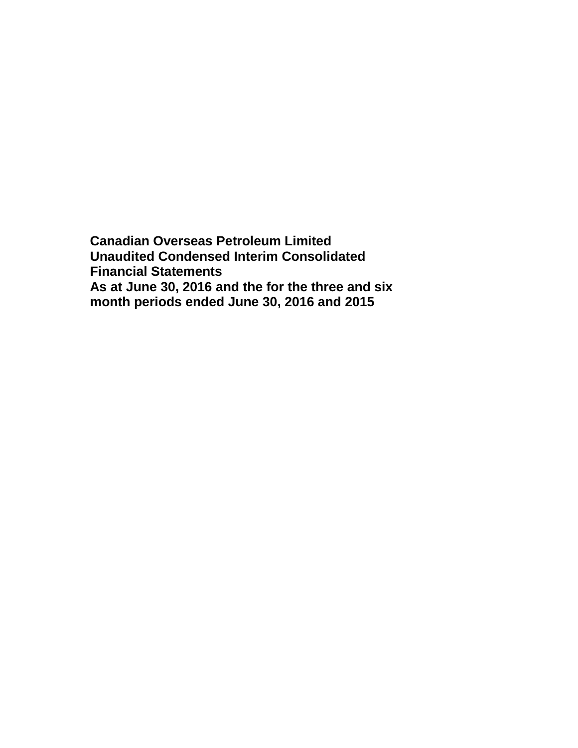**Canadian Overseas Petroleum Limited Unaudited Condensed Interim Consolidated Financial Statements As at June 30, 2016 and the for the three and six month periods ended June 30, 2016 and 2015**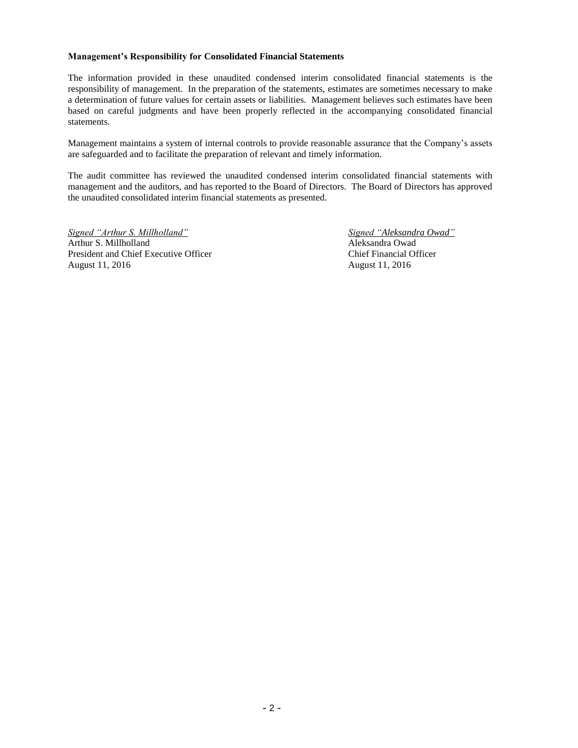#### **Management's Responsibility for Consolidated Financial Statements**

The information provided in these unaudited condensed interim consolidated financial statements is the responsibility of management. In the preparation of the statements, estimates are sometimes necessary to make a determination of future values for certain assets or liabilities. Management believes such estimates have been based on careful judgments and have been properly reflected in the accompanying consolidated financial statements.

Management maintains a system of internal controls to provide reasonable assurance that the Company's assets are safeguarded and to facilitate the preparation of relevant and timely information.

The audit committee has reviewed the unaudited condensed interim consolidated financial statements with management and the auditors, and has reported to the Board of Directors. The Board of Directors has approved the unaudited consolidated interim financial statements as presented.

*Signed "Arthur S. Millholland" Signed "Aleksandra Owad"* Arthur S. Millholland Aleksandra Owad President and Chief Executive Officer Chief Financial Officer August 11, 2016 August 11, 2016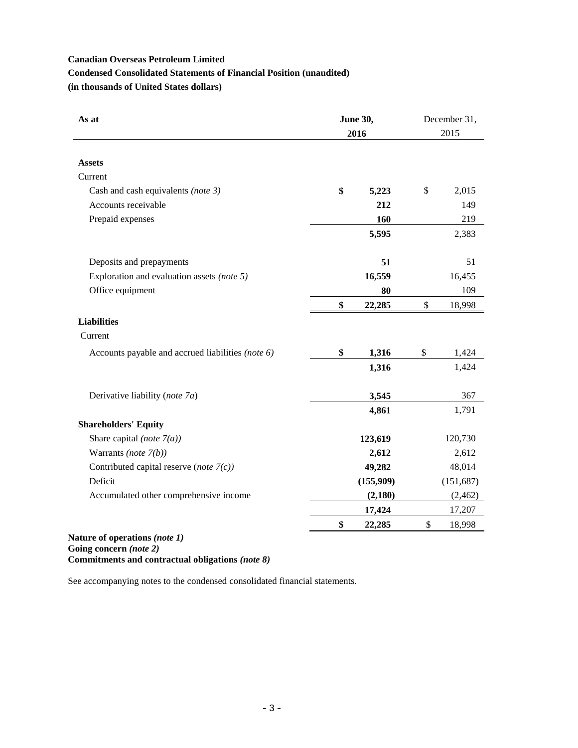# **Condensed Consolidated Statements of Financial Position (unaudited)**

**(in thousands of United States dollars)**

| <b>June 30,</b><br>As at<br>2016                  |              | December 31,<br>2015 |  |
|---------------------------------------------------|--------------|----------------------|--|
| <b>Assets</b>                                     |              |                      |  |
| Current                                           |              |                      |  |
| Cash and cash equivalents (note 3)                | \$<br>5,223  | \$<br>2,015          |  |
| Accounts receivable                               | 212          | 149                  |  |
| Prepaid expenses                                  | 160          | 219                  |  |
|                                                   | 5,595        | 2,383                |  |
| Deposits and prepayments                          | 51           | 51                   |  |
| Exploration and evaluation assets (note 5)        | 16,559       | 16,455               |  |
| Office equipment                                  | 80           | 109                  |  |
|                                                   | \$<br>22,285 | \$<br>18,998         |  |
| <b>Liabilities</b>                                |              |                      |  |
| Current                                           |              |                      |  |
| Accounts payable and accrued liabilities (note 6) | \$<br>1,316  | \$<br>1,424          |  |
|                                                   | 1,316        | 1,424                |  |
| Derivative liability (note 7a)                    | 3,545        | 367                  |  |
|                                                   | 4,861        | 1,791                |  |
| <b>Shareholders' Equity</b>                       |              |                      |  |
| Share capital (note $7(a)$ )                      | 123,619      | 120,730              |  |
| Warrants (note $7(b)$ )                           | 2,612        | 2,612                |  |
| Contributed capital reserve (note $7(c)$ )        | 49,282       | 48,014               |  |
| Deficit                                           | (155,909)    | (151, 687)           |  |
| Accumulated other comprehensive income            | (2,180)      | (2, 462)             |  |
|                                                   | 17,424       | 17,207               |  |
|                                                   | \$<br>22,285 | \$<br>18,998         |  |

**Going concern** *(note 2)* **Commitments and contractual obligations** *(note 8)*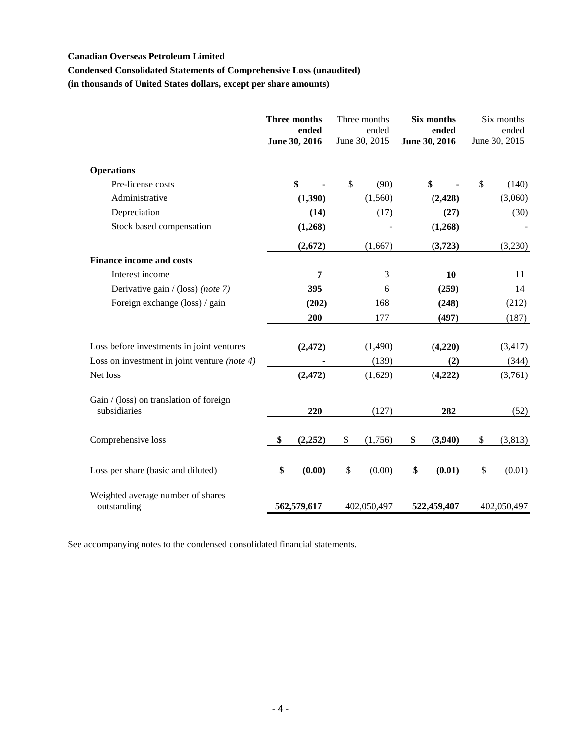## **Condensed Consolidated Statements of Comprehensive Loss (unaudited)**

**(in thousands of United States dollars, except per share amounts)**

|                                                         | Three months<br>ended<br>June 30, 2016 | Three months<br>ended<br>June 30, 2015 | Six months<br>ended<br>June 30, 2016 |              | Six months<br>ended<br>June 30, 2015 |
|---------------------------------------------------------|----------------------------------------|----------------------------------------|--------------------------------------|--------------|--------------------------------------|
| <b>Operations</b>                                       |                                        |                                        |                                      |              |                                      |
| Pre-license costs                                       | \$                                     | \$<br>(90)                             | \$                                   | $\mathbb{S}$ | (140)                                |
| Administrative                                          | (1,390)                                | (1,560)                                | (2, 428)                             |              | (3,060)                              |
| Depreciation                                            | (14)                                   | (17)                                   | (27)                                 |              | (30)                                 |
| Stock based compensation                                | (1,268)                                |                                        | (1,268)                              |              |                                      |
|                                                         | (2,672)                                | (1,667)                                | (3,723)                              |              | (3,230)                              |
| <b>Finance income and costs</b>                         |                                        |                                        |                                      |              |                                      |
| Interest income                                         | 7                                      | 3                                      | 10                                   |              | 11                                   |
| Derivative gain / (loss) (note 7)                       | 395                                    | 6                                      | (259)                                |              | 14                                   |
| Foreign exchange (loss) / gain                          | (202)                                  | 168                                    | (248)                                |              | (212)                                |
|                                                         | 200                                    | 177                                    | (497)                                |              | (187)                                |
| Loss before investments in joint ventures               | (2, 472)                               | (1,490)                                | (4,220)                              |              | (3, 417)                             |
| Loss on investment in joint venture (note 4)            |                                        | (139)                                  | (2)                                  |              | (344)                                |
| Net loss                                                | (2, 472)                               | (1,629)                                | (4,222)                              |              | (3,761)                              |
| Gain / (loss) on translation of foreign<br>subsidiaries | 220                                    | (127)                                  | 282                                  |              | (52)                                 |
| Comprehensive loss                                      | \$<br>(2,252)                          | \$<br>(1,756)                          | \$<br>(3,940)                        | \$           | (3,813)                              |
| Loss per share (basic and diluted)                      | \$<br>(0.00)                           | \$<br>(0.00)                           | \$<br>(0.01)                         | \$           | (0.01)                               |
| Weighted average number of shares<br>outstanding        | 562,579,617                            | 402,050,497                            | 522,459,407                          |              | 402,050,497                          |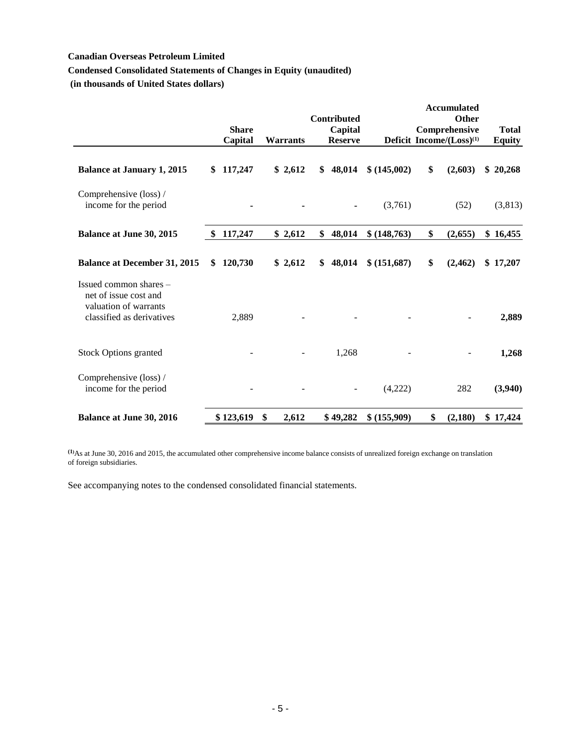## **Condensed Consolidated Statements of Changes in Equity (unaudited)**

**(in thousands of United States dollars)**

|                                                                                                       |     | <b>Share</b><br>Capital | <b>Warrants</b> | Contributed<br>Capital<br><b>Reserve</b> |               | <b>Accumulated</b><br>Other<br>Comprehensive<br>Deficit Income/(Loss) <sup>(1)</sup> | <b>Total</b><br><b>Equity</b> |
|-------------------------------------------------------------------------------------------------------|-----|-------------------------|-----------------|------------------------------------------|---------------|--------------------------------------------------------------------------------------|-------------------------------|
| <b>Balance at January 1, 2015</b>                                                                     | \$  | 117,247                 | \$2,612         | \$<br>48,014                             | \$(145,002)   | \$<br>(2,603)                                                                        | \$20,268                      |
| Comprehensive (loss) /<br>income for the period                                                       |     |                         |                 |                                          | (3,761)       | (52)                                                                                 | (3, 813)                      |
| <b>Balance at June 30, 2015</b>                                                                       | -\$ | 117,247                 | \$2,612         | \$<br>48,014                             | \$ (148, 763) | \$<br>(2,655)                                                                        | \$16,455                      |
| <b>Balance at December 31, 2015</b>                                                                   | S   | 120,730                 | \$2,612         | \$<br>48,014                             | \$ (151,687)  | \$<br>(2, 462)                                                                       | \$17,207                      |
| Issued common shares -<br>net of issue cost and<br>valuation of warrants<br>classified as derivatives |     | 2,889                   |                 |                                          |               |                                                                                      | 2,889                         |
| <b>Stock Options granted</b>                                                                          |     |                         |                 | 1,268                                    |               |                                                                                      | 1,268                         |
| Comprehensive (loss) /<br>income for the period                                                       |     |                         |                 |                                          | (4,222)       | 282                                                                                  | (3,940)                       |
| <b>Balance at June 30, 2016</b>                                                                       |     | \$123,619               | \$<br>2,612     | \$49,282                                 | \$ (155,909)  | \$<br>(2,180)                                                                        | \$17,424                      |

**(1)**As at June 30, 2016 and 2015, the accumulated other comprehensive income balance consists of unrealized foreign exchange on translation of foreign subsidiaries.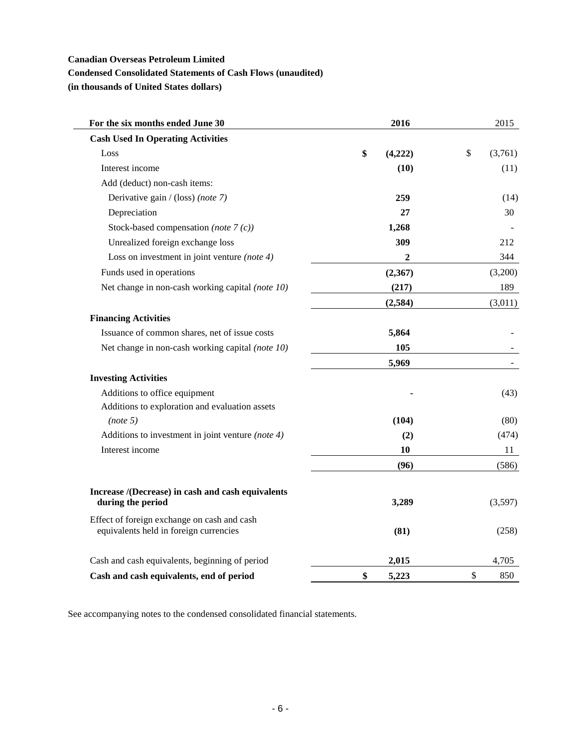## **Condensed Consolidated Statements of Cash Flows (unaudited)**

**(in thousands of United States dollars)**

| For the six months ended June 30                                                      | 2016          | 2015          |
|---------------------------------------------------------------------------------------|---------------|---------------|
| <b>Cash Used In Operating Activities</b>                                              |               |               |
| Loss                                                                                  | \$<br>(4,222) | \$<br>(3,761) |
| Interest income                                                                       | (10)          | (11)          |
| Add (deduct) non-cash items:                                                          |               |               |
| Derivative gain / (loss) (note 7)                                                     | 259           | (14)          |
| Depreciation                                                                          | 27            | 30            |
| Stock-based compensation (note $7(c)$ )                                               | 1,268         |               |
| Unrealized foreign exchange loss                                                      | 309           | 212           |
| Loss on investment in joint venture (note $4$ )                                       | $\mathbf{2}$  | 344           |
| Funds used in operations                                                              | (2,367)       | (3,200)       |
| Net change in non-cash working capital (note 10)                                      | (217)         | 189           |
|                                                                                       | (2, 584)      | (3,011)       |
| <b>Financing Activities</b>                                                           |               |               |
| Issuance of common shares, net of issue costs                                         | 5,864         |               |
| Net change in non-cash working capital (note 10)                                      | 105           |               |
|                                                                                       | 5,969         |               |
| <b>Investing Activities</b>                                                           |               |               |
| Additions to office equipment                                                         |               | (43)          |
| Additions to exploration and evaluation assets                                        |               |               |
| (note 5)                                                                              | (104)         | (80)          |
| Additions to investment in joint venture (note $4$ )                                  | (2)           | (474)         |
| Interest income                                                                       | 10            | 11            |
|                                                                                       | (96)          | (586)         |
| Increase /(Decrease) in cash and cash equivalents<br>during the period                | 3,289         | (3,597)       |
| Effect of foreign exchange on cash and cash<br>equivalents held in foreign currencies | (81)          | (258)         |
| Cash and cash equivalents, beginning of period                                        | 2,015         | 4,705         |
| Cash and cash equivalents, end of period                                              | \$<br>5,223   | \$<br>850     |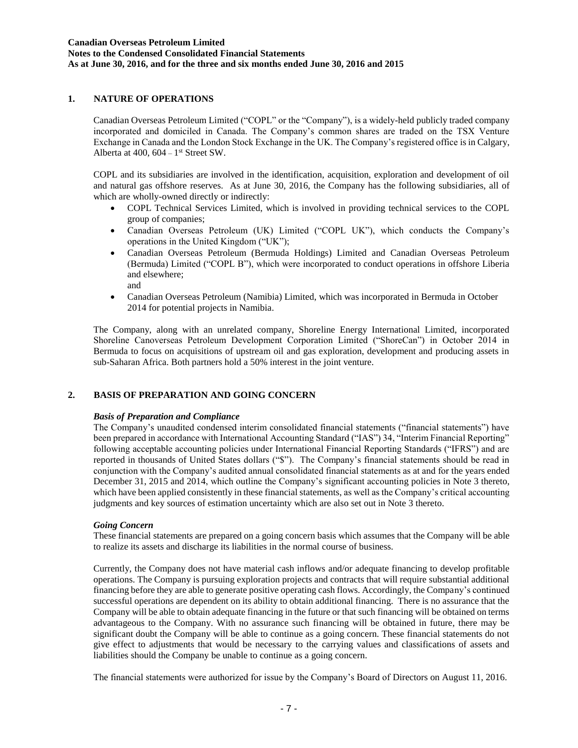## **1. NATURE OF OPERATIONS**

Canadian Overseas Petroleum Limited ("COPL" or the "Company"), is a widely-held publicly traded company incorporated and domiciled in Canada. The Company's common shares are traded on the TSX Venture Exchange in Canada and the London Stock Exchange in the UK. The Company's registered office is in Calgary, Alberta at  $400$ ,  $604 - 1$ <sup>st</sup> Street SW.

COPL and its subsidiaries are involved in the identification, acquisition, exploration and development of oil and natural gas offshore reserves. As at June 30, 2016, the Company has the following subsidiaries, all of which are wholly-owned directly or indirectly:

- COPL Technical Services Limited, which is involved in providing technical services to the COPL group of companies;
- Canadian Overseas Petroleum (UK) Limited ("COPL UK"), which conducts the Company's operations in the United Kingdom ("UK");
- Canadian Overseas Petroleum (Bermuda Holdings) Limited and Canadian Overseas Petroleum (Bermuda) Limited ("COPL B"), which were incorporated to conduct operations in offshore Liberia and elsewhere; and
- Canadian Overseas Petroleum (Namibia) Limited, which was incorporated in Bermuda in October 2014 for potential projects in Namibia.

The Company, along with an unrelated company, Shoreline Energy International Limited, incorporated Shoreline Canoverseas Petroleum Development Corporation Limited ("ShoreCan") in October 2014 in Bermuda to focus on acquisitions of upstream oil and gas exploration, development and producing assets in sub-Saharan Africa. Both partners hold a 50% interest in the joint venture.

### **2. BASIS OF PREPARATION AND GOING CONCERN**

#### *Basis of Preparation and Compliance*

The Company's unaudited condensed interim consolidated financial statements ("financial statements") have been prepared in accordance with International Accounting Standard ("IAS") 34, "Interim Financial Reporting" following acceptable accounting policies under International Financial Reporting Standards ("IFRS") and are reported in thousands of United States dollars ("\$"). The Company's financial statements should be read in conjunction with the Company's audited annual consolidated financial statements as at and for the years ended December 31, 2015 and 2014, which outline the Company's significant accounting policies in Note 3 thereto, which have been applied consistently in these financial statements, as well as the Company's critical accounting judgments and key sources of estimation uncertainty which are also set out in Note 3 thereto.

#### *Going Concern*

These financial statements are prepared on a going concern basis which assumes that the Company will be able to realize its assets and discharge its liabilities in the normal course of business.

Currently, the Company does not have material cash inflows and/or adequate financing to develop profitable operations. The Company is pursuing exploration projects and contracts that will require substantial additional financing before they are able to generate positive operating cash flows. Accordingly, the Company's continued successful operations are dependent on its ability to obtain additional financing. There is no assurance that the Company will be able to obtain adequate financing in the future or that such financing will be obtained on terms advantageous to the Company. With no assurance such financing will be obtained in future, there may be significant doubt the Company will be able to continue as a going concern. These financial statements do not give effect to adjustments that would be necessary to the carrying values and classifications of assets and liabilities should the Company be unable to continue as a going concern.

The financial statements were authorized for issue by the Company's Board of Directors on August 11, 2016.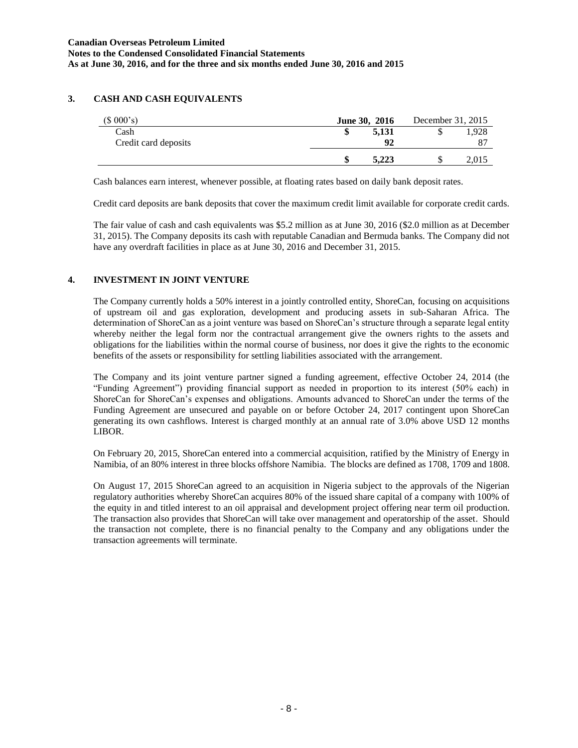## **3. CASH AND CASH EQUIVALENTS**

| (\$000's)            | <b>June 30, 2016</b> | December 31, 2015 |       |
|----------------------|----------------------|-------------------|-------|
| Cash                 | 5,131                |                   | .928  |
| Credit card deposits | 92                   |                   | 87    |
|                      | 5.223                |                   | 2.015 |

Cash balances earn interest, whenever possible, at floating rates based on daily bank deposit rates.

Credit card deposits are bank deposits that cover the maximum credit limit available for corporate credit cards.

The fair value of cash and cash equivalents was \$5.2 million as at June 30, 2016 (\$2.0 million as at December 31, 2015). The Company deposits its cash with reputable Canadian and Bermuda banks. The Company did not have any overdraft facilities in place as at June 30, 2016 and December 31, 2015.

## **4. INVESTMENT IN JOINT VENTURE**

The Company currently holds a 50% interest in a jointly controlled entity, ShoreCan, focusing on acquisitions of upstream oil and gas exploration, development and producing assets in sub-Saharan Africa. The determination of ShoreCan as a joint venture was based on ShoreCan's structure through a separate legal entity whereby neither the legal form nor the contractual arrangement give the owners rights to the assets and obligations for the liabilities within the normal course of business, nor does it give the rights to the economic benefits of the assets or responsibility for settling liabilities associated with the arrangement.

The Company and its joint venture partner signed a funding agreement, effective October 24, 2014 (the "Funding Agreement") providing financial support as needed in proportion to its interest (50% each) in ShoreCan for ShoreCan's expenses and obligations. Amounts advanced to ShoreCan under the terms of the Funding Agreement are unsecured and payable on or before October 24, 2017 contingent upon ShoreCan generating its own cashflows. Interest is charged monthly at an annual rate of 3.0% above USD 12 months LIBOR.

On February 20, 2015, ShoreCan entered into a commercial acquisition, ratified by the Ministry of Energy in Namibia, of an 80% interest in three blocks offshore Namibia. The blocks are defined as 1708, 1709 and 1808.

On August 17, 2015 ShoreCan agreed to an acquisition in Nigeria subject to the approvals of the Nigerian regulatory authorities whereby ShoreCan acquires 80% of the issued share capital of a company with 100% of the equity in and titled interest to an oil appraisal and development project offering near term oil production. The transaction also provides that ShoreCan will take over management and operatorship of the asset. Should the transaction not complete, there is no financial penalty to the Company and any obligations under the transaction agreements will terminate.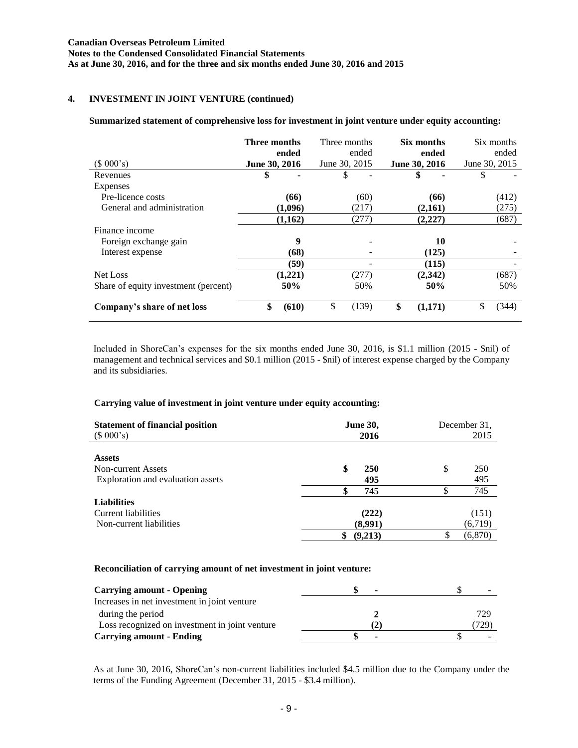## **4. INVESTMENT IN JOINT VENTURE (continued)**

#### **Summarized statement of comprehensive loss for investment in joint venture under equity accounting:**

| (\$000's)                            | Three months<br>ended<br>June 30, 2016 | Three months<br>ended<br>June 30, 2015 | Six months<br>ended<br>June 30, 2016 | Six months<br>ended<br>June 30, 2015 |
|--------------------------------------|----------------------------------------|----------------------------------------|--------------------------------------|--------------------------------------|
| Revenues                             | \$                                     | \$                                     | \$                                   | \$                                   |
| Expenses                             |                                        |                                        |                                      |                                      |
| Pre-licence costs                    | (66)                                   | (60)                                   | (66)                                 | (412)                                |
| General and administration           | (1,096)                                | (217)                                  | (2,161)                              | (275)                                |
|                                      | (1,162)                                | (277)                                  | (2,227)                              | (687)                                |
| Finance income                       |                                        |                                        |                                      |                                      |
| Foreign exchange gain                | 9                                      |                                        | 10                                   |                                      |
| Interest expense                     | (68)                                   |                                        | (125)                                |                                      |
|                                      | (59)                                   |                                        | (115)                                |                                      |
| Net Loss                             | (1,221)                                | (277)                                  | (2,342)                              | (687)                                |
| Share of equity investment (percent) | 50%                                    | 50%                                    | 50%                                  | 50%                                  |
| Company's share of net loss          | \$<br>(610)                            | \$<br>(139)                            | \$<br>(1,171)                        | \$<br>(344)                          |

Included in ShoreCan's expenses for the six months ended June 30, 2016, is \$1.1 million (2015 - \$nil) of management and technical services and \$0.1 million (2015 - \$nil) of interest expense charged by the Company and its subsidiaries.

### **Carrying value of investment in joint venture under equity accounting:**

| <b>Statement of financial position</b><br>(\$000's) | <b>June 30,</b><br>2016 | December 31.<br>2015 |
|-----------------------------------------------------|-------------------------|----------------------|
| <b>Assets</b>                                       |                         |                      |
| Non-current Assets                                  | \$<br><b>250</b>        | \$<br>250            |
| Exploration and evaluation assets                   | 495                     | 495                  |
|                                                     | 745<br>S                | 745                  |
| <b>Liabilities</b>                                  |                         |                      |
| Current liabilities                                 | (222)                   | (151)                |
| Non-current liabilities                             | (8,991)                 | (6, 719)             |
|                                                     | \$<br>(9,213)           | (6, 870)             |

#### **Reconciliation of carrying amount of net investment in joint venture:**

| <b>Carrying amount - Opening</b>               | $\overline{\phantom{a}}$ |      |
|------------------------------------------------|--------------------------|------|
| Increases in net investment in joint venture   |                          |      |
| during the period                              |                          | 729  |
| Loss recognized on investment in joint venture | 2                        | 729) |
| <b>Carrying amount - Ending</b>                | ۰                        |      |

As at June 30, 2016, ShoreCan's non-current liabilities included \$4.5 million due to the Company under the terms of the Funding Agreement (December 31, 2015 - \$3.4 million).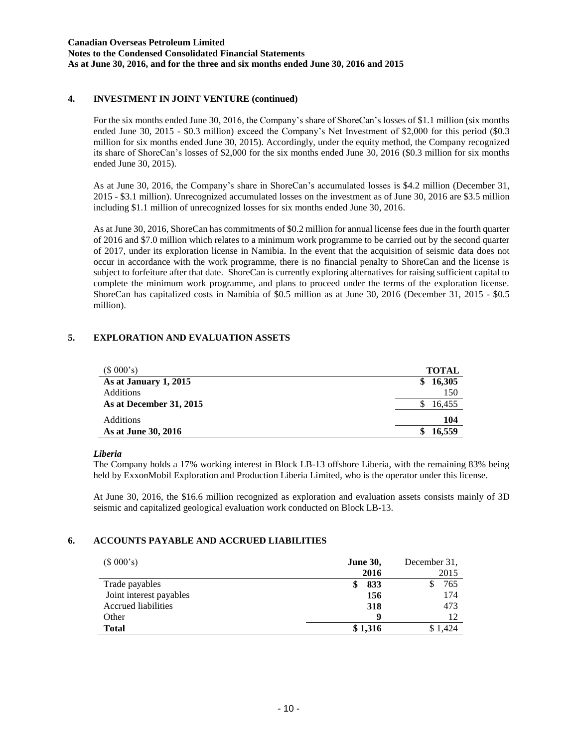## **4. INVESTMENT IN JOINT VENTURE (continued)**

For the six months ended June 30, 2016, the Company's share of ShoreCan's losses of \$1.1 million (six months ended June 30, 2015 - \$0.3 million) exceed the Company's Net Investment of \$2,000 for this period (\$0.3 million for six months ended June 30, 2015). Accordingly, under the equity method, the Company recognized its share of ShoreCan's losses of \$2,000 for the six months ended June 30, 2016 (\$0.3 million for six months ended June 30, 2015).

As at June 30, 2016, the Company's share in ShoreCan's accumulated losses is \$4.2 million (December 31, 2015 - \$3.1 million). Unrecognized accumulated losses on the investment as of June 30, 2016 are \$3.5 million including \$1.1 million of unrecognized losses for six months ended June 30, 2016.

As at June 30, 2016, ShoreCan has commitments of \$0.2 million for annual license fees due in the fourth quarter of 2016 and \$7.0 million which relates to a minimum work programme to be carried out by the second quarter of 2017, under its exploration license in Namibia. In the event that the acquisition of seismic data does not occur in accordance with the work programme, there is no financial penalty to ShoreCan and the license is subject to forfeiture after that date. ShoreCan is currently exploring alternatives for raising sufficient capital to complete the minimum work programme, and plans to proceed under the terms of the exploration license. ShoreCan has capitalized costs in Namibia of \$0.5 million as at June 30, 2016 (December 31, 2015 - \$0.5 million).

## **5. EXPLORATION AND EVALUATION ASSETS**

| (\$000's)               | <b>TOTAL</b> |
|-------------------------|--------------|
| As at January 1, 2015   | 16,305<br>\$ |
| <b>Additions</b>        | 150          |
| As at December 31, 2015 | 16,455       |
| Additions               | 104          |
| As at June 30, 2016     | 16.559       |

### *Liberia*

The Company holds a 17% working interest in Block LB-13 offshore Liberia, with the remaining 83% being held by ExxonMobil Exploration and Production Liberia Limited, who is the operator under this license.

At June 30, 2016, the \$16.6 million recognized as exploration and evaluation assets consists mainly of 3D seismic and capitalized geological evaluation work conducted on Block LB-13.

### **6. ACCOUNTS PAYABLE AND ACCRUED LIABILITIES**

| (\$000's)                  | <b>June 30,</b> | December 31, |
|----------------------------|-----------------|--------------|
|                            | 2016            | 2015         |
| Trade payables             | 833             | 765          |
| Joint interest payables    | 156             | 174          |
| <b>Accrued liabilities</b> | 318             | 473          |
| Other                      | Q               | 12           |
| <b>Total</b>               | \$1,316         |              |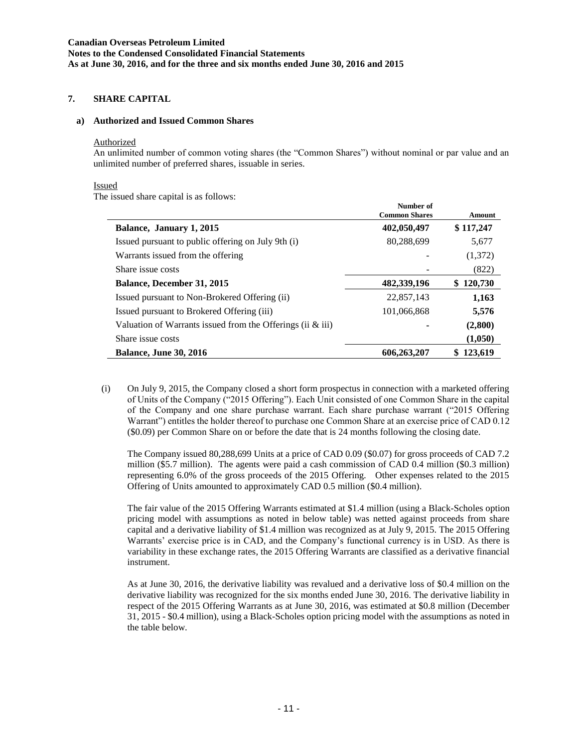### **7. SHARE CAPITAL**

#### **a) Authorized and Issued Common Shares**

#### Authorized

An unlimited number of common voting shares (the "Common Shares") without nominal or par value and an unlimited number of preferred shares, issuable in series.

#### Issued

The issued share capital is as follows:

|                                                               | Number of<br><b>Common Shares</b> | Amount        |
|---------------------------------------------------------------|-----------------------------------|---------------|
| Balance, January 1, 2015                                      | 402,050,497                       | \$117,247     |
| Issued pursuant to public offering on July 9th (i)            | 80,288,699                        | 5,677         |
| Warrants issued from the offering                             |                                   | (1,372)       |
| Share issue costs                                             |                                   | (822)         |
| <b>Balance, December 31, 2015</b>                             | 482,339,196                       | 120,730<br>S. |
| Issued pursuant to Non-Brokered Offering (ii)                 | 22,857,143                        | 1,163         |
| Issued pursuant to Brokered Offering (iii)                    | 101,066,868                       | 5,576         |
| Valuation of Warrants issued from the Offerings (ii $\&$ iii) | ٠                                 | (2,800)       |
| Share issue costs                                             |                                   | (1,050)       |
| <b>Balance, June 30, 2016</b>                                 | 606,263,207                       | 123,619       |

(i) On July 9, 2015, the Company closed a short form prospectus in connection with a marketed offering of Units of the Company ("2015 Offering"). Each Unit consisted of one Common Share in the capital of the Company and one share purchase warrant. Each share purchase warrant ("2015 Offering Warrant") entitles the holder thereof to purchase one Common Share at an exercise price of CAD 0.12 (\$0.09) per Common Share on or before the date that is 24 months following the closing date.

The Company issued 80,288,699 Units at a price of CAD 0.09 (\$0.07) for gross proceeds of CAD 7.2 million (\$5.7 million). The agents were paid a cash commission of CAD 0.4 million (\$0.3 million) representing 6.0% of the gross proceeds of the 2015 Offering. Other expenses related to the 2015 Offering of Units amounted to approximately CAD 0.5 million (\$0.4 million).

The fair value of the 2015 Offering Warrants estimated at \$1.4 million (using a Black-Scholes option pricing model with assumptions as noted in below table) was netted against proceeds from share capital and a derivative liability of \$1.4 million was recognized as at July 9, 2015. The 2015 Offering Warrants' exercise price is in CAD, and the Company's functional currency is in USD. As there is variability in these exchange rates, the 2015 Offering Warrants are classified as a derivative financial instrument.

As at June 30, 2016, the derivative liability was revalued and a derivative loss of \$0.4 million on the derivative liability was recognized for the six months ended June 30, 2016. The derivative liability in respect of the 2015 Offering Warrants as at June 30, 2016, was estimated at \$0.8 million (December 31, 2015 - \$0.4 million), using a Black-Scholes option pricing model with the assumptions as noted in the table below.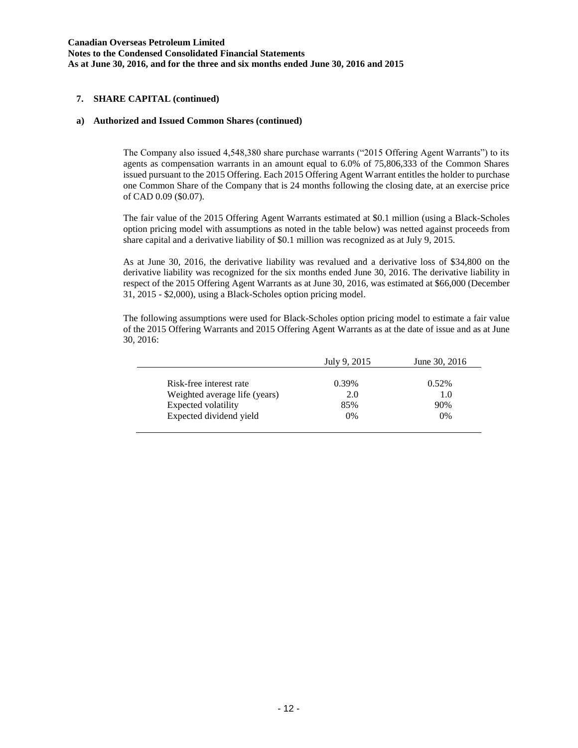**Canadian Overseas Petroleum Limited Notes to the Condensed Consolidated Financial Statements As at June 30, 2016, and for the three and six months ended June 30, 2016 and 2015**

#### **7. SHARE CAPITAL (continued)**

#### **a) Authorized and Issued Common Shares (continued)**

The Company also issued 4,548,380 share purchase warrants ("2015 Offering Agent Warrants") to its agents as compensation warrants in an amount equal to 6.0% of 75,806,333 of the Common Shares issued pursuant to the 2015 Offering. Each 2015 Offering Agent Warrant entitles the holder to purchase one Common Share of the Company that is 24 months following the closing date, at an exercise price of CAD 0.09 (\$0.07).

The fair value of the 2015 Offering Agent Warrants estimated at \$0.1 million (using a Black-Scholes option pricing model with assumptions as noted in the table below) was netted against proceeds from share capital and a derivative liability of \$0.1 million was recognized as at July 9, 2015.

As at June 30, 2016, the derivative liability was revalued and a derivative loss of \$34,800 on the derivative liability was recognized for the six months ended June 30, 2016. The derivative liability in respect of the 2015 Offering Agent Warrants as at June 30, 2016, was estimated at \$66,000 (December 31, 2015 - \$2,000), using a Black-Scholes option pricing model.

The following assumptions were used for Black-Scholes option pricing model to estimate a fair value of the 2015 Offering Warrants and 2015 Offering Agent Warrants as at the date of issue and as at June 30, 2016:

|                               | July 9, 2015 | June 30, 2016 |
|-------------------------------|--------------|---------------|
|                               |              |               |
| Risk-free interest rate       | 0.39%        | $0.52\%$      |
| Weighted average life (years) | 2.0          | 1.0           |
| Expected volatility           | 85%          | 90%           |
| Expected dividend yield       | 0%           | 0%            |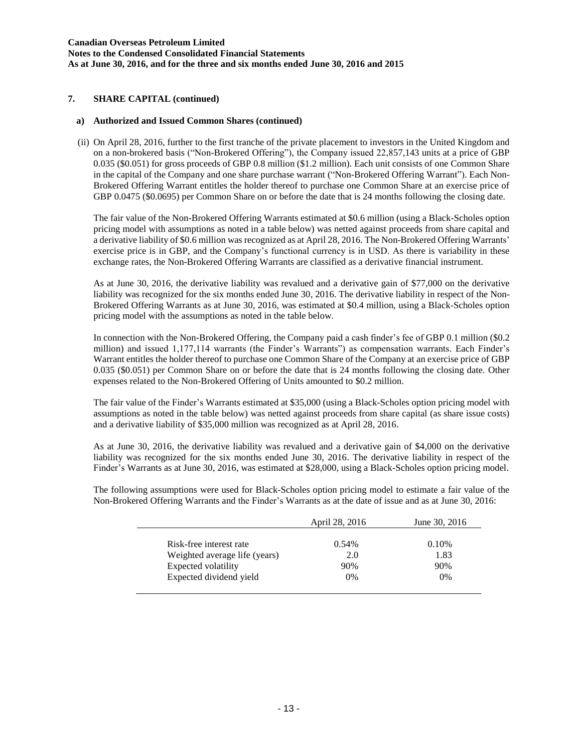**Canadian Overseas Petroleum Limited Notes to the Condensed Consolidated Financial Statements As at June 30, 2016, and for the three and six months ended June 30, 2016 and 2015**

### **7. SHARE CAPITAL (continued)**

### **a) Authorized and Issued Common Shares (continued)**

(ii) On April 28, 2016, further to the first tranche of the private placement to investors in the United Kingdom and on a non-brokered basis ("Non-Brokered Offering"), the Company issued 22,857,143 units at a price of GBP 0.035 (\$0.051) for gross proceeds of GBP 0.8 million (\$1.2 million). Each unit consists of one Common Share in the capital of the Company and one share purchase warrant ("Non-Brokered Offering Warrant"). Each Non-Brokered Offering Warrant entitles the holder thereof to purchase one Common Share at an exercise price of GBP 0.0475 (\$0.0695) per Common Share on or before the date that is 24 months following the closing date.

The fair value of the Non-Brokered Offering Warrants estimated at \$0.6 million (using a Black-Scholes option pricing model with assumptions as noted in a table below) was netted against proceeds from share capital and a derivative liability of \$0.6 million was recognized as at April 28, 2016. The Non-Brokered Offering Warrants' exercise price is in GBP, and the Company's functional currency is in USD. As there is variability in these exchange rates, the Non-Brokered Offering Warrants are classified as a derivative financial instrument.

As at June 30, 2016, the derivative liability was revalued and a derivative gain of \$77,000 on the derivative liability was recognized for the six months ended June 30, 2016. The derivative liability in respect of the Non-Brokered Offering Warrants as at June 30, 2016, was estimated at \$0.4 million, using a Black-Scholes option pricing model with the assumptions as noted in the table below.

In connection with the Non-Brokered Offering, the Company paid a cash finder's fee of GBP 0.1 million (\$0.2 million) and issued 1,177,114 warrants (the Finder's Warrants") as compensation warrants. Each Finder's Warrant entitles the holder thereof to purchase one Common Share of the Company at an exercise price of GBP 0.035 (\$0.051) per Common Share on or before the date that is 24 months following the closing date. Other expenses related to the Non-Brokered Offering of Units amounted to \$0.2 million.

The fair value of the Finder's Warrants estimated at \$35,000 (using a Black-Scholes option pricing model with assumptions as noted in the table below) was netted against proceeds from share capital (as share issue costs) and a derivative liability of \$35,000 million was recognized as at April 28, 2016.

As at June 30, 2016, the derivative liability was revalued and a derivative gain of \$4,000 on the derivative liability was recognized for the six months ended June 30, 2016. The derivative liability in respect of the Finder's Warrants as at June 30, 2016, was estimated at \$28,000, using a Black-Scholes option pricing model.

The following assumptions were used for Black-Scholes option pricing model to estimate a fair value of the Non-Brokered Offering Warrants and the Finder's Warrants as at the date of issue and as at June 30, 2016:

|                               | April 28, 2016 | June 30, 2016 |
|-------------------------------|----------------|---------------|
| Risk-free interest rate       | 0.54%          | 0.10%         |
| Weighted average life (years) | 2.0            | 1.83          |
| Expected volatility           | 90%            | 90%           |
| Expected dividend yield       | $0\%$          | $0\%$         |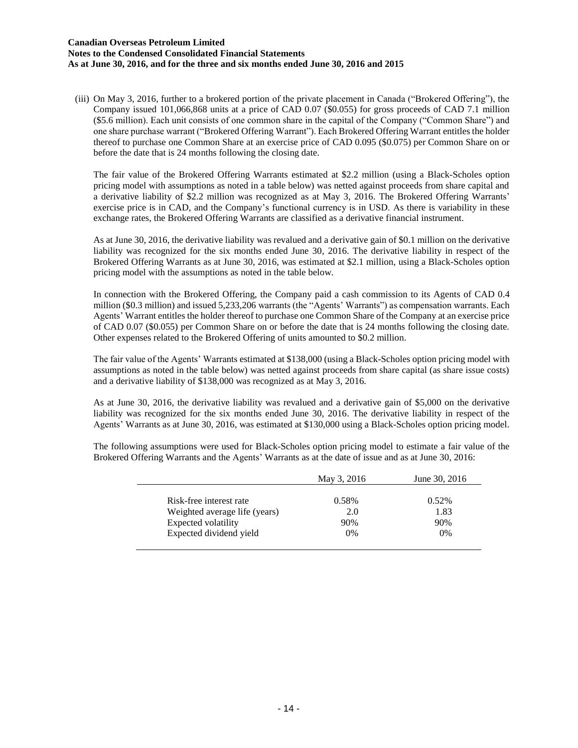#### **Canadian Overseas Petroleum Limited Notes to the Condensed Consolidated Financial Statements As at June 30, 2016, and for the three and six months ended June 30, 2016 and 2015**

(iii) On May 3, 2016, further to a brokered portion of the private placement in Canada ("Brokered Offering"), the Company issued 101,066,868 units at a price of CAD 0.07 (\$0.055) for gross proceeds of CAD 7.1 million (\$5.6 million). Each unit consists of one common share in the capital of the Company ("Common Share") and one share purchase warrant ("Brokered Offering Warrant"). Each Brokered Offering Warrant entitles the holder thereof to purchase one Common Share at an exercise price of CAD 0.095 (\$0.075) per Common Share on or before the date that is 24 months following the closing date.

The fair value of the Brokered Offering Warrants estimated at \$2.2 million (using a Black-Scholes option pricing model with assumptions as noted in a table below) was netted against proceeds from share capital and a derivative liability of \$2.2 million was recognized as at May 3, 2016. The Brokered Offering Warrants' exercise price is in CAD, and the Company's functional currency is in USD. As there is variability in these exchange rates, the Brokered Offering Warrants are classified as a derivative financial instrument.

As at June 30, 2016, the derivative liability was revalued and a derivative gain of \$0.1 million on the derivative liability was recognized for the six months ended June 30, 2016. The derivative liability in respect of the Brokered Offering Warrants as at June 30, 2016, was estimated at \$2.1 million, using a Black-Scholes option pricing model with the assumptions as noted in the table below.

In connection with the Brokered Offering, the Company paid a cash commission to its Agents of CAD 0.4 million (\$0.3 million) and issued 5,233,206 warrants (the "Agents' Warrants") as compensation warrants. Each Agents' Warrant entitles the holder thereof to purchase one Common Share of the Company at an exercise price of CAD 0.07 (\$0.055) per Common Share on or before the date that is 24 months following the closing date. Other expenses related to the Brokered Offering of units amounted to \$0.2 million.

The fair value of the Agents' Warrants estimated at \$138,000 (using a Black-Scholes option pricing model with assumptions as noted in the table below) was netted against proceeds from share capital (as share issue costs) and a derivative liability of \$138,000 was recognized as at May 3, 2016.

As at June 30, 2016, the derivative liability was revalued and a derivative gain of \$5,000 on the derivative liability was recognized for the six months ended June 30, 2016. The derivative liability in respect of the Agents' Warrants as at June 30, 2016, was estimated at \$130,000 using a Black-Scholes option pricing model.

The following assumptions were used for Black-Scholes option pricing model to estimate a fair value of the Brokered Offering Warrants and the Agents' Warrants as at the date of issue and as at June 30, 2016:

|                               | May 3, 2016 | June 30, 2016 |
|-------------------------------|-------------|---------------|
| Risk-free interest rate       | 0.58%       | 0.52%         |
| Weighted average life (years) | 2.0         | 1.83          |
| Expected volatility           | 90%         | 90%           |
| Expected dividend yield       | $0\%$       | $0\%$         |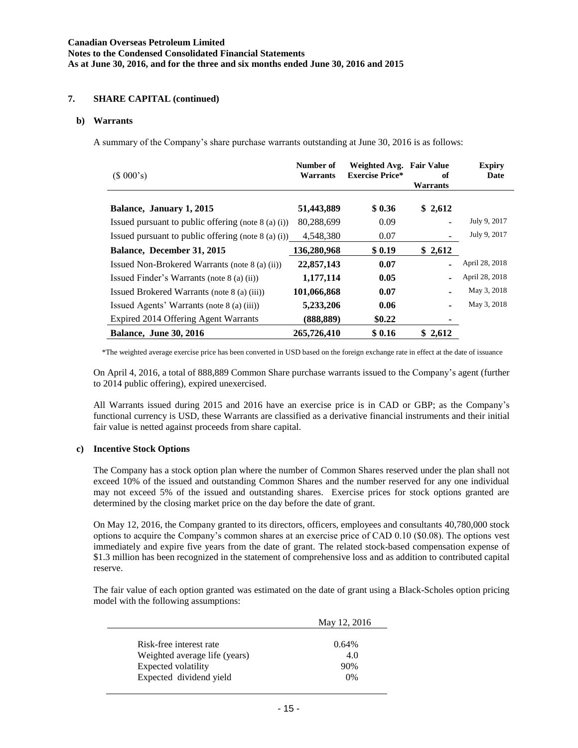## **7. SHARE CAPITAL (continued)**

#### **b) Warrants**

A summary of the Company's share purchase warrants outstanding at June 30, 2016 is as follows:

| (\$000's)                                             | Number of<br>Warrants | Weighted Avg.<br><b>Exercise Price*</b> | <b>Fair Value</b><br>оf<br>Warrants | <b>Expiry</b><br>Date |
|-------------------------------------------------------|-----------------------|-----------------------------------------|-------------------------------------|-----------------------|
| Balance, January 1, 2015                              | 51,443,889            | \$0.36                                  | \$2,612                             |                       |
| Issued pursuant to public offering (note $8$ (a) (i)) | 80,288,699            | 0.09                                    |                                     | July 9, 2017          |
| Issued pursuant to public offering (note $8$ (a) (i)) | 4.548.380             | 0.07                                    |                                     | July 9, 2017          |
| Balance, December 31, 2015                            | 136,280,968           | \$0.19                                  | \$2,612                             |                       |
| Issued Non-Brokered Warrants (note 8 (a) (ii))        | 22,857,143            | 0.07                                    |                                     | April 28, 2018        |
| Issued Finder's Warrants (note 8 (a) (ii))            | 1,177,114             | 0.05                                    |                                     | April 28, 2018        |
| Issued Brokered Warrants (note 8 (a) (iii))           | 101,066,868           | 0.07                                    |                                     | May 3, 2018           |
| Issued Agents' Warrants (note 8 (a) (iii))            | 5,233,206             | 0.06                                    |                                     | May 3, 2018           |
| Expired 2014 Offering Agent Warrants                  | (888,889)             | \$0.22                                  |                                     |                       |
| <b>Balance, June 30, 2016</b>                         | 265,726,410           | \$0.16                                  | \$2,612                             |                       |

\*The weighted average exercise price has been converted in USD based on the foreign exchange rate in effect at the date of issuance

On April 4, 2016, a total of 888,889 Common Share purchase warrants issued to the Company's agent (further to 2014 public offering), expired unexercised.

All Warrants issued during 2015 and 2016 have an exercise price is in CAD or GBP; as the Company's functional currency is USD, these Warrants are classified as a derivative financial instruments and their initial fair value is netted against proceeds from share capital.

### **c) Incentive Stock Options**

The Company has a stock option plan where the number of Common Shares reserved under the plan shall not exceed 10% of the issued and outstanding Common Shares and the number reserved for any one individual may not exceed 5% of the issued and outstanding shares. Exercise prices for stock options granted are determined by the closing market price on the day before the date of grant.

On May 12, 2016, the Company granted to its directors, officers, employees and consultants 40,780,000 stock options to acquire the Company's common shares at an exercise price of CAD 0.10 (\$0.08). The options vest immediately and expire five years from the date of grant. The related stock-based compensation expense of \$1.3 million has been recognized in the statement of comprehensive loss and as addition to contributed capital reserve.

The fair value of each option granted was estimated on the date of grant using a Black-Scholes option pricing model with the following assumptions:

|                               | May 12, 2016 |
|-------------------------------|--------------|
|                               |              |
| Risk-free interest rate       | $0.64\%$     |
| Weighted average life (years) | 4.0          |
| Expected volatility           | 90%          |
| Expected dividend yield       | 0%           |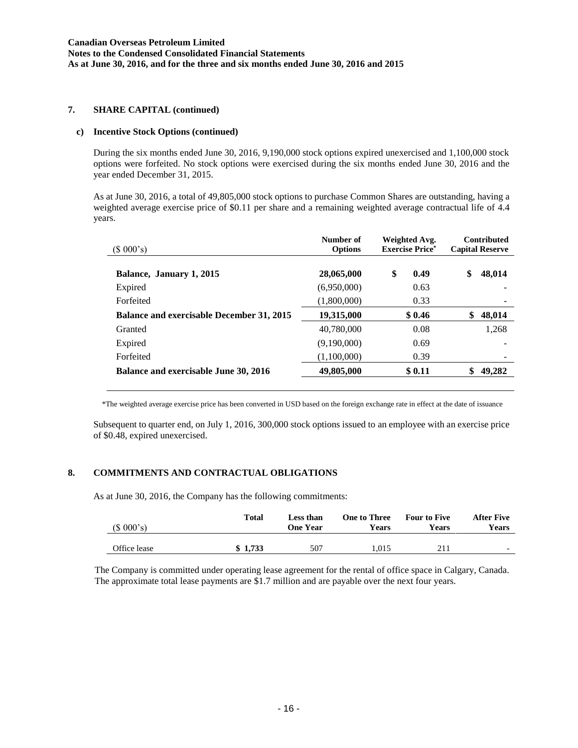### **7. SHARE CAPITAL (continued)**

#### **c) Incentive Stock Options (continued)**

During the six months ended June 30, 2016, 9,190,000 stock options expired unexercised and 1,100,000 stock options were forfeited. No stock options were exercised during the six months ended June 30, 2016 and the year ended December 31, 2015.

As at June 30, 2016, a total of 49,805,000 stock options to purchase Common Shares are outstanding, having a weighted average exercise price of \$0.11 per share and a remaining weighted average contractual life of 4.4 years.

| $(S\ 000's)$                                     | Number of<br><b>Options</b> | Weighted Avg.<br><b>Exercise Price*</b> | <b>Contributed</b><br><b>Capital Reserve</b> |  |
|--------------------------------------------------|-----------------------------|-----------------------------------------|----------------------------------------------|--|
| Balance, January 1, 2015                         | 28,065,000                  | S<br>0.49                               | \$<br>48,014                                 |  |
| Expired                                          | (6,950,000)                 | 0.63                                    |                                              |  |
| Forfeited                                        | (1,800,000)                 | 0.33                                    |                                              |  |
| <b>Balance and exercisable December 31, 2015</b> | 19,315,000                  | \$0.46                                  | 48,014<br>\$                                 |  |
| Granted                                          | 40.780,000                  | 0.08                                    | 1.268                                        |  |
| Expired                                          | (9,190,000)                 | 0.69                                    |                                              |  |
| Forfeited                                        | (1,100,000)                 | 0.39                                    |                                              |  |
| <b>Balance and exercisable June 30, 2016</b>     | 49,805,000                  | \$0.11                                  | 49,282                                       |  |
|                                                  |                             |                                         |                                              |  |

\*The weighted average exercise price has been converted in USD based on the foreign exchange rate in effect at the date of issuance

Subsequent to quarter end, on July 1, 2016, 300,000 stock options issued to an employee with an exercise price of \$0.48, expired unexercised.

## **8. COMMITMENTS AND CONTRACTUAL OBLIGATIONS**

As at June 30, 2016, the Company has the following commitments:

| (\$000's)    | Total   | Less than<br><b>One Year</b> | <b>One to Three</b><br>Years | <b>Four to Five</b><br><b>Years</b> | After Five<br>Years      |
|--------------|---------|------------------------------|------------------------------|-------------------------------------|--------------------------|
| Office lease | \$1,733 | 507                          | 1.015                        | 211                                 | $\overline{\phantom{0}}$ |

The Company is committed under operating lease agreement for the rental of office space in Calgary, Canada. The approximate total lease payments are \$1.7 million and are payable over the next four years.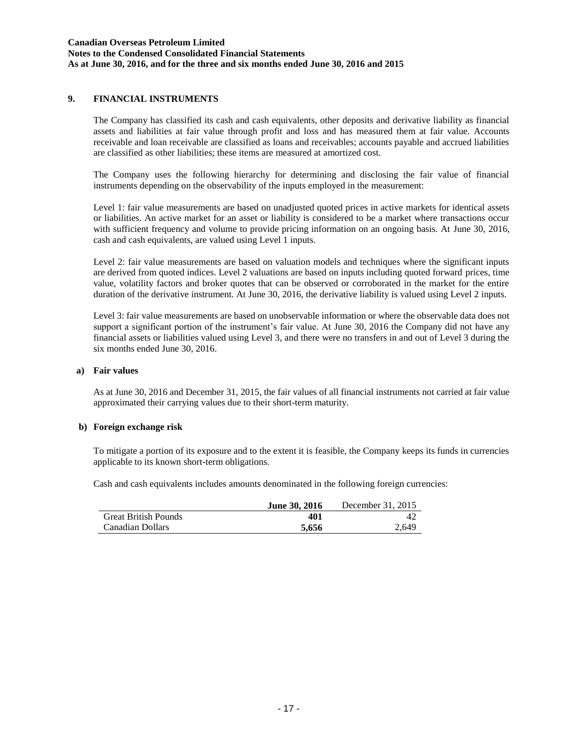## **9. FINANCIAL INSTRUMENTS**

The Company has classified its cash and cash equivalents, other deposits and derivative liability as financial assets and liabilities at fair value through profit and loss and has measured them at fair value. Accounts receivable and loan receivable are classified as loans and receivables; accounts payable and accrued liabilities are classified as other liabilities; these items are measured at amortized cost.

The Company uses the following hierarchy for determining and disclosing the fair value of financial instruments depending on the observability of the inputs employed in the measurement:

Level 1: fair value measurements are based on unadjusted quoted prices in active markets for identical assets or liabilities. An active market for an asset or liability is considered to be a market where transactions occur with sufficient frequency and volume to provide pricing information on an ongoing basis. At June 30, 2016, cash and cash equivalents, are valued using Level 1 inputs.

Level 2: fair value measurements are based on valuation models and techniques where the significant inputs are derived from quoted indices. Level 2 valuations are based on inputs including quoted forward prices, time value, volatility factors and broker quotes that can be observed or corroborated in the market for the entire duration of the derivative instrument. At June 30, 2016, the derivative liability is valued using Level 2 inputs.

Level 3: fair value measurements are based on unobservable information or where the observable data does not support a significant portion of the instrument's fair value. At June 30, 2016 the Company did not have any financial assets or liabilities valued using Level 3, and there were no transfers in and out of Level 3 during the six months ended June 30, 2016.

#### **a) Fair values**

As at June 30, 2016 and December 31, 2015, the fair values of all financial instruments not carried at fair value approximated their carrying values due to their short-term maturity.

#### **b) Foreign exchange risk**

To mitigate a portion of its exposure and to the extent it is feasible, the Company keeps its funds in currencies applicable to its known short-term obligations.

Cash and cash equivalents includes amounts denominated in the following foreign currencies:

|                             | <b>June 30, 2016</b> | December 31, 2015 |
|-----------------------------|----------------------|-------------------|
| <b>Great British Pounds</b> | 401                  |                   |
| Canadian Dollars            | 5.656                | 2.649             |